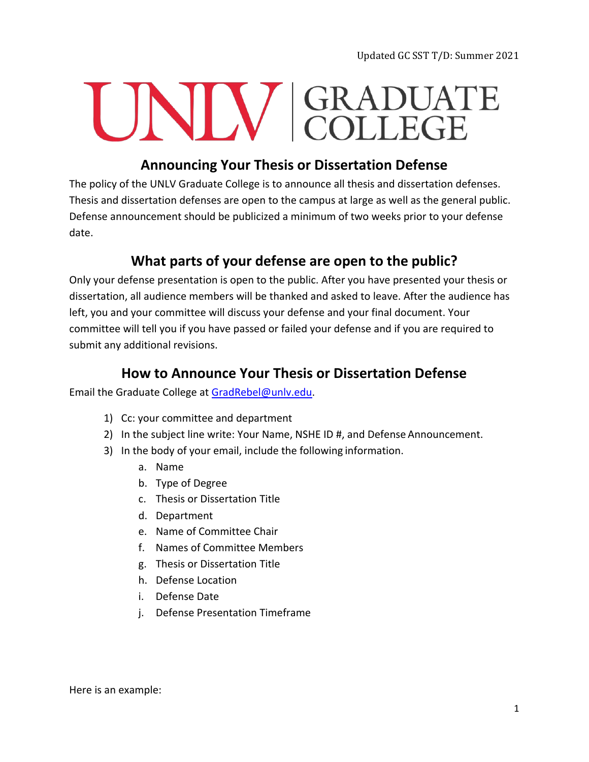Updated GC SST T/D: Summer 2021

## UNIV GRADUATE

## **Announcing Your Thesis or Dissertation Defense**

The policy of the UNLV Graduate College is to announce all thesis and dissertation defenses. Thesis and dissertation defenses are open to the campus at large as well as the general public. Defense announcement should be publicized a minimum of two weeks prior to your defense date.

## **What parts of your defense are open to the public?**

Only your defense presentation is open to the public. After you have presented your thesis or dissertation, all audience members will be thanked and asked to leave. After the audience has left, you and your committee will discuss your defense and your final document. Your committee will tell you if you have passed or failed your defense and if you are required to submit any additional revisions.

## **How to Announce Your Thesis or Dissertation Defense**

Email the Graduate College at [GradRebel@unlv.edu.](mailto:GradRebel@unlv.edu)

- 1) Cc: your committee and department
- 2) In the subject line write: Your Name, NSHE ID #, and Defense Announcement.
- 3) In the body of your email, include the following information.
	- a. Name
	- b. Type of Degree
	- c. Thesis or Dissertation Title
	- d. Department
	- e. Name of Committee Chair
	- f. Names of Committee Members
	- g. Thesis or Dissertation Title
	- h. Defense Location
	- i. Defense Date
	- j. Defense Presentation Timeframe